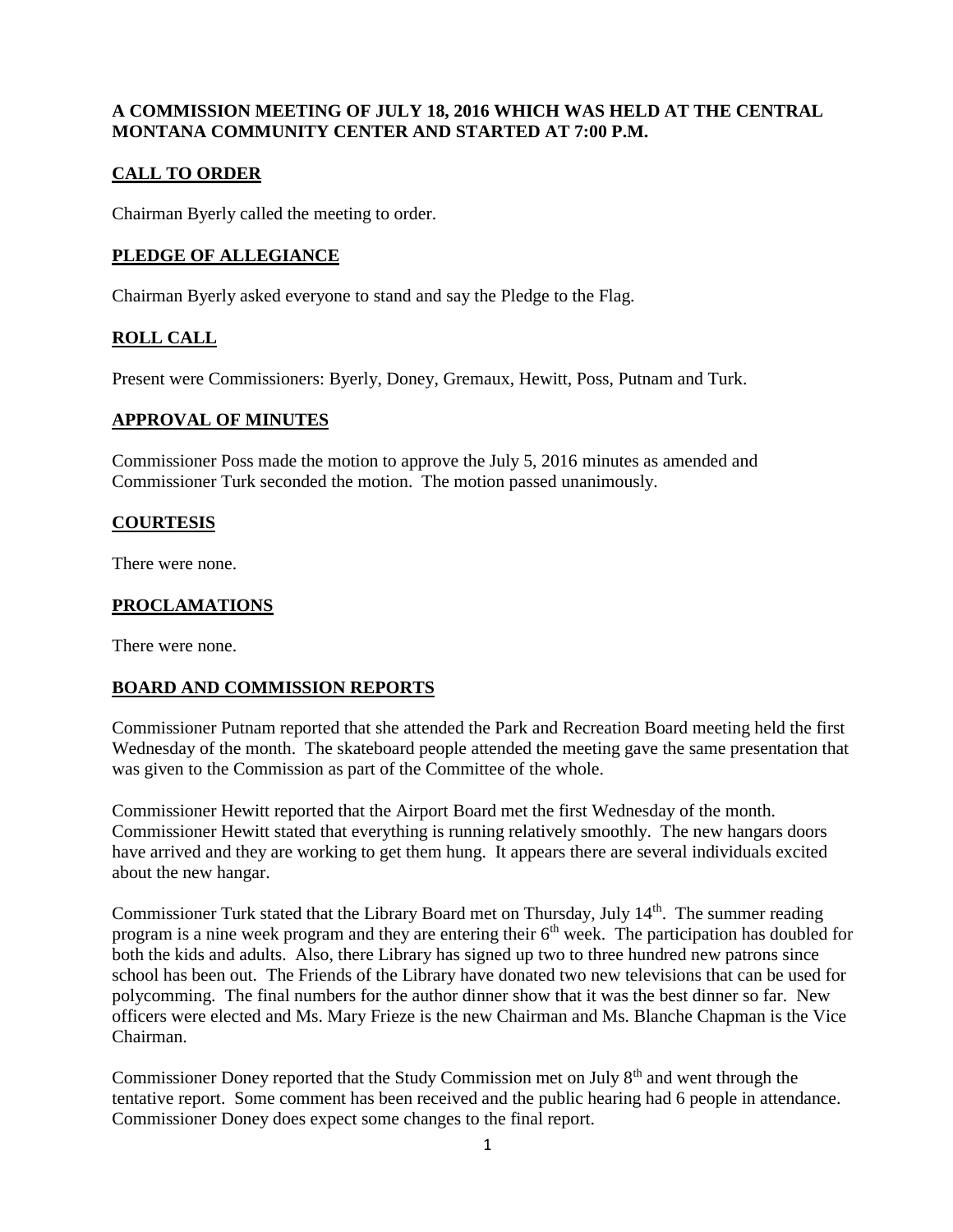## **A COMMISSION MEETING OF JULY 18, 2016 WHICH WAS HELD AT THE CENTRAL MONTANA COMMUNITY CENTER AND STARTED AT 7:00 P.M.**

# **CALL TO ORDER**

Chairman Byerly called the meeting to order.

## **PLEDGE OF ALLEGIANCE**

Chairman Byerly asked everyone to stand and say the Pledge to the Flag.

## **ROLL CALL**

Present were Commissioners: Byerly, Doney, Gremaux, Hewitt, Poss, Putnam and Turk.

#### **APPROVAL OF MINUTES**

Commissioner Poss made the motion to approve the July 5, 2016 minutes as amended and Commissioner Turk seconded the motion. The motion passed unanimously.

#### **COURTESIS**

There were none.

## **PROCLAMATIONS**

There were none.

## **BOARD AND COMMISSION REPORTS**

Commissioner Putnam reported that she attended the Park and Recreation Board meeting held the first Wednesday of the month. The skateboard people attended the meeting gave the same presentation that was given to the Commission as part of the Committee of the whole.

Commissioner Hewitt reported that the Airport Board met the first Wednesday of the month. Commissioner Hewitt stated that everything is running relatively smoothly. The new hangars doors have arrived and they are working to get them hung. It appears there are several individuals excited about the new hangar.

Commissioner Turk stated that the Library Board met on Thursday, July 14<sup>th</sup>. The summer reading program is a nine week program and they are entering their  $6<sup>th</sup>$  week. The participation has doubled for both the kids and adults. Also, there Library has signed up two to three hundred new patrons since school has been out. The Friends of the Library have donated two new televisions that can be used for polycomming. The final numbers for the author dinner show that it was the best dinner so far. New officers were elected and Ms. Mary Frieze is the new Chairman and Ms. Blanche Chapman is the Vice Chairman.

Commissioner Doney reported that the Study Commission met on July 8<sup>th</sup> and went through the tentative report. Some comment has been received and the public hearing had 6 people in attendance. Commissioner Doney does expect some changes to the final report.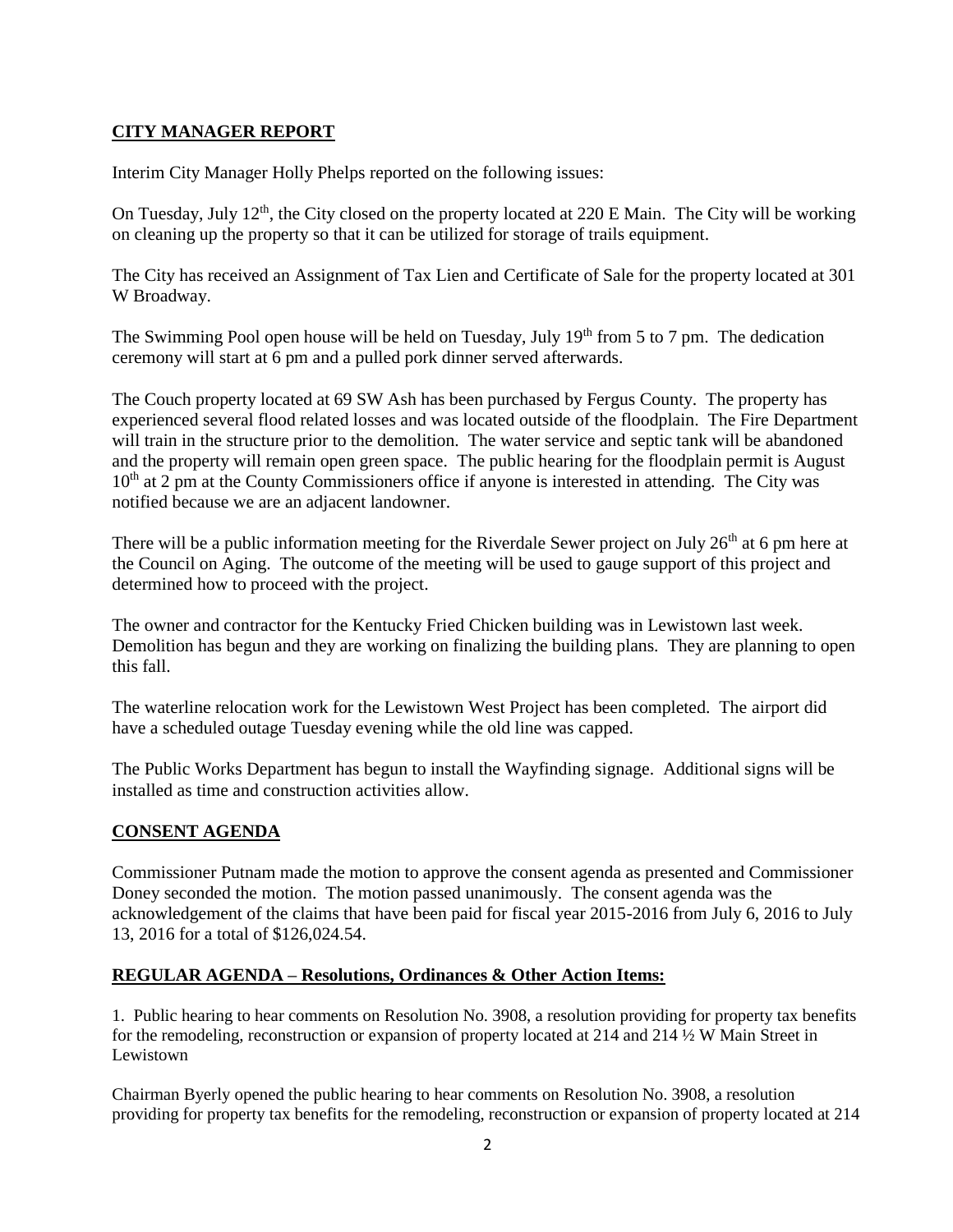# **CITY MANAGER REPORT**

Interim City Manager Holly Phelps reported on the following issues:

On Tuesday, July  $12<sup>th</sup>$ , the City closed on the property located at 220 E Main. The City will be working on cleaning up the property so that it can be utilized for storage of trails equipment.

The City has received an Assignment of Tax Lien and Certificate of Sale for the property located at 301 W Broadway.

The Swimming Pool open house will be held on Tuesday, July  $19<sup>th</sup>$  from 5 to 7 pm. The dedication ceremony will start at 6 pm and a pulled pork dinner served afterwards.

The Couch property located at 69 SW Ash has been purchased by Fergus County. The property has experienced several flood related losses and was located outside of the floodplain. The Fire Department will train in the structure prior to the demolition. The water service and septic tank will be abandoned and the property will remain open green space. The public hearing for the floodplain permit is August  $10<sup>th</sup>$  at 2 pm at the County Commissioners office if anyone is interested in attending. The City was notified because we are an adjacent landowner.

There will be a public information meeting for the Riverdale Sewer project on July  $26<sup>th</sup>$  at 6 pm here at the Council on Aging. The outcome of the meeting will be used to gauge support of this project and determined how to proceed with the project.

The owner and contractor for the Kentucky Fried Chicken building was in Lewistown last week. Demolition has begun and they are working on finalizing the building plans. They are planning to open this fall.

The waterline relocation work for the Lewistown West Project has been completed. The airport did have a scheduled outage Tuesday evening while the old line was capped.

The Public Works Department has begun to install the Wayfinding signage. Additional signs will be installed as time and construction activities allow.

## **CONSENT AGENDA**

Commissioner Putnam made the motion to approve the consent agenda as presented and Commissioner Doney seconded the motion. The motion passed unanimously. The consent agenda was the acknowledgement of the claims that have been paid for fiscal year 2015-2016 from July 6, 2016 to July 13, 2016 for a total of \$126,024.54.

## **REGULAR AGENDA – Resolutions, Ordinances & Other Action Items:**

1. Public hearing to hear comments on Resolution No. 3908, a resolution providing for property tax benefits for the remodeling, reconstruction or expansion of property located at 214 and 214 ½ W Main Street in Lewistown

Chairman Byerly opened the public hearing to hear comments on Resolution No. 3908, a resolution providing for property tax benefits for the remodeling, reconstruction or expansion of property located at 214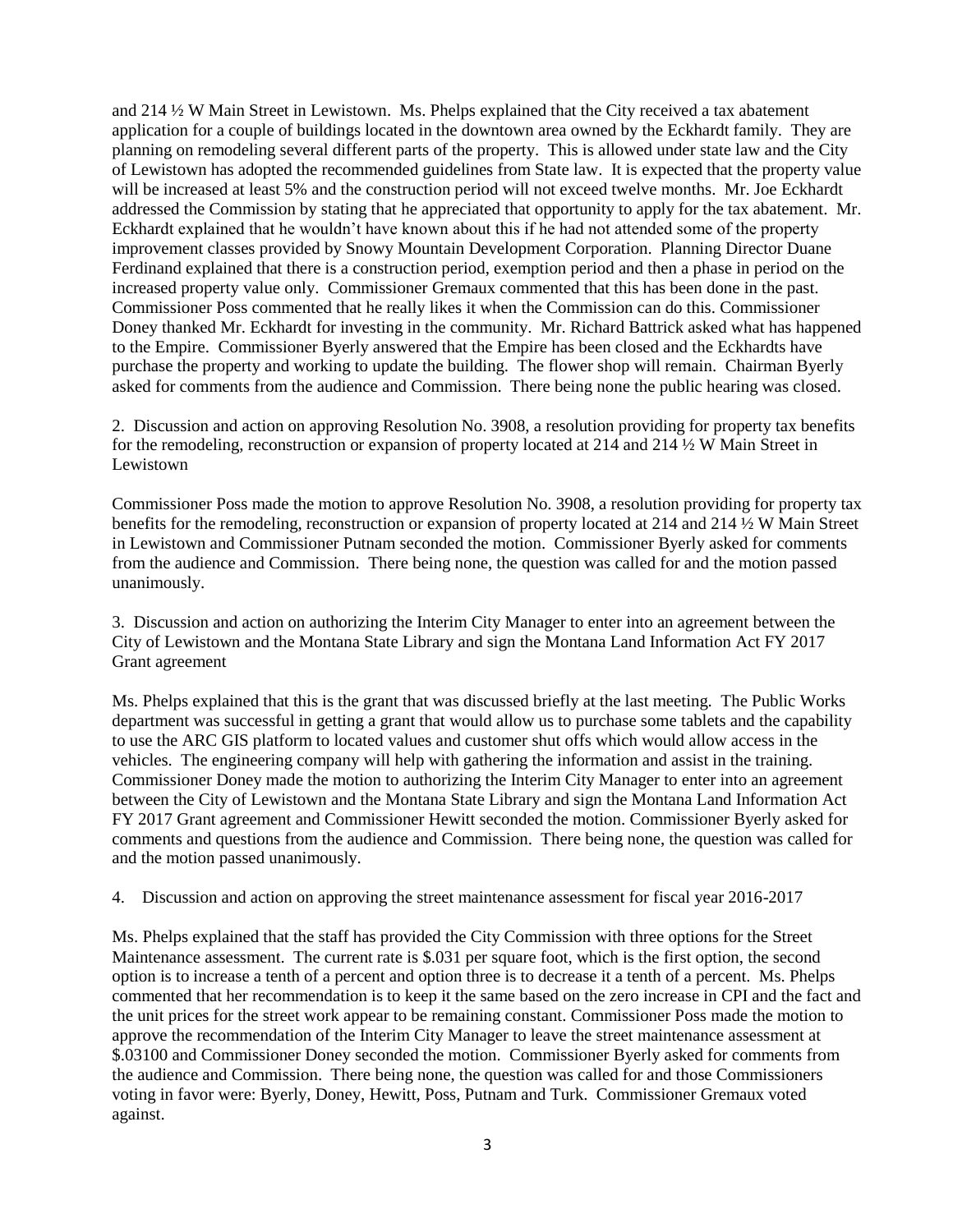and 214 ½ W Main Street in Lewistown. Ms. Phelps explained that the City received a tax abatement application for a couple of buildings located in the downtown area owned by the Eckhardt family. They are planning on remodeling several different parts of the property. This is allowed under state law and the City of Lewistown has adopted the recommended guidelines from State law. It is expected that the property value will be increased at least 5% and the construction period will not exceed twelve months. Mr. Joe Eckhardt addressed the Commission by stating that he appreciated that opportunity to apply for the tax abatement. Mr. Eckhardt explained that he wouldn't have known about this if he had not attended some of the property improvement classes provided by Snowy Mountain Development Corporation. Planning Director Duane Ferdinand explained that there is a construction period, exemption period and then a phase in period on the increased property value only. Commissioner Gremaux commented that this has been done in the past. Commissioner Poss commented that he really likes it when the Commission can do this. Commissioner Doney thanked Mr. Eckhardt for investing in the community. Mr. Richard Battrick asked what has happened to the Empire. Commissioner Byerly answered that the Empire has been closed and the Eckhardts have purchase the property and working to update the building. The flower shop will remain. Chairman Byerly asked for comments from the audience and Commission. There being none the public hearing was closed.

2. Discussion and action on approving Resolution No. 3908, a resolution providing for property tax benefits for the remodeling, reconstruction or expansion of property located at 214 and 214 ½ W Main Street in Lewistown

Commissioner Poss made the motion to approve Resolution No. 3908, a resolution providing for property tax benefits for the remodeling, reconstruction or expansion of property located at 214 and 214 ½ W Main Street in Lewistown and Commissioner Putnam seconded the motion. Commissioner Byerly asked for comments from the audience and Commission. There being none, the question was called for and the motion passed unanimously.

3. Discussion and action on authorizing the Interim City Manager to enter into an agreement between the City of Lewistown and the Montana State Library and sign the Montana Land Information Act FY 2017 Grant agreement

Ms. Phelps explained that this is the grant that was discussed briefly at the last meeting. The Public Works department was successful in getting a grant that would allow us to purchase some tablets and the capability to use the ARC GIS platform to located values and customer shut offs which would allow access in the vehicles. The engineering company will help with gathering the information and assist in the training. Commissioner Doney made the motion to authorizing the Interim City Manager to enter into an agreement between the City of Lewistown and the Montana State Library and sign the Montana Land Information Act FY 2017 Grant agreement and Commissioner Hewitt seconded the motion. Commissioner Byerly asked for comments and questions from the audience and Commission. There being none, the question was called for and the motion passed unanimously.

4. Discussion and action on approving the street maintenance assessment for fiscal year 2016-2017

Ms. Phelps explained that the staff has provided the City Commission with three options for the Street Maintenance assessment. The current rate is \$.031 per square foot, which is the first option, the second option is to increase a tenth of a percent and option three is to decrease it a tenth of a percent. Ms. Phelps commented that her recommendation is to keep it the same based on the zero increase in CPI and the fact and the unit prices for the street work appear to be remaining constant. Commissioner Poss made the motion to approve the recommendation of the Interim City Manager to leave the street maintenance assessment at \$.03100 and Commissioner Doney seconded the motion. Commissioner Byerly asked for comments from the audience and Commission. There being none, the question was called for and those Commissioners voting in favor were: Byerly, Doney, Hewitt, Poss, Putnam and Turk. Commissioner Gremaux voted against.